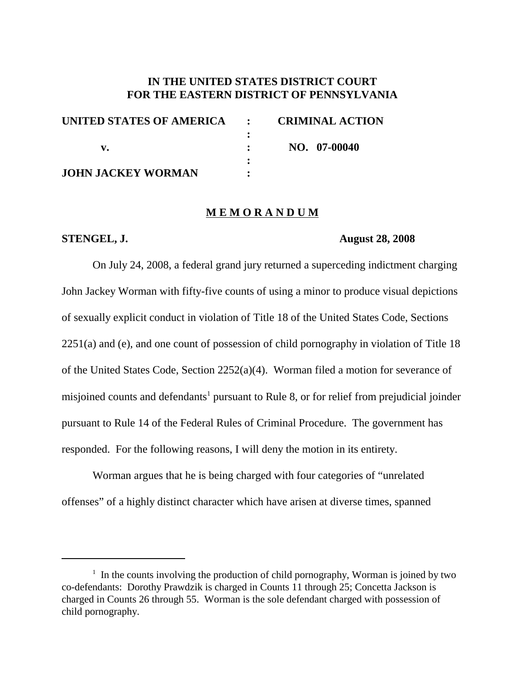## **IN THE UNITED STATES DISTRICT COURT FOR THE EASTERN DISTRICT OF PENNSYLVANIA**

| UNITED STATES OF AMERICA : | <b>CRIMINAL ACTION</b> |
|----------------------------|------------------------|
|                            |                        |
|                            | NO. 07-00040           |
|                            |                        |
| <b>JOHN JACKEY WORMAN</b>  |                        |

### **M E M O R A N D U M**

### **STENGEL, J. August 28, 2008**

On July 24, 2008, a federal grand jury returned a superceding indictment charging John Jackey Worman with fifty-five counts of using a minor to produce visual depictions of sexually explicit conduct in violation of Title 18 of the United States Code, Sections 2251(a) and (e), and one count of possession of child pornography in violation of Title 18 of the United States Code, Section 2252(a)(4). Worman filed a motion for severance of misjoined counts and defendants<sup>1</sup> pursuant to Rule 8, or for relief from prejudicial joinder pursuant to Rule 14 of the Federal Rules of Criminal Procedure. The government has responded. For the following reasons, I will deny the motion in its entirety.

Worman argues that he is being charged with four categories of "unrelated offenses" of a highly distinct character which have arisen at diverse times, spanned

 $1$  In the counts involving the production of child pornography, Worman is joined by two co-defendants: Dorothy Prawdzik is charged in Counts 11 through 25; Concetta Jackson is charged in Counts 26 through 55. Worman is the sole defendant charged with possession of child pornography.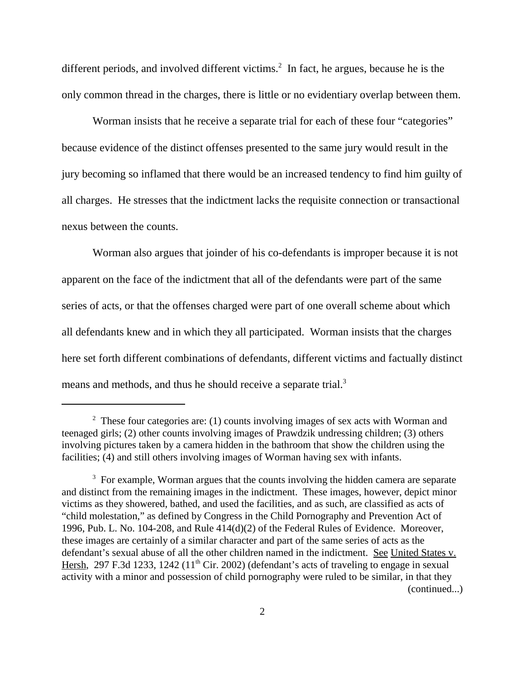different periods, and involved different victims. <sup>2</sup> In fact, he argues, because he is the only common thread in the charges, there is little or no evidentiary overlap between them.

Worman insists that he receive a separate trial for each of these four "categories" because evidence of the distinct offenses presented to the same jury would result in the jury becoming so inflamed that there would be an increased tendency to find him guilty of all charges. He stresses that the indictment lacks the requisite connection or transactional nexus between the counts.

Worman also argues that joinder of his co-defendants is improper because it is not apparent on the face of the indictment that all of the defendants were part of the same series of acts, or that the offenses charged were part of one overall scheme about which all defendants knew and in which they all participated. Worman insists that the charges here set forth different combinations of defendants, different victims and factually distinct means and methods, and thus he should receive a separate trial.<sup>3</sup>

<sup>&</sup>lt;sup>2</sup> These four categories are: (1) counts involving images of sex acts with Worman and teenaged girls; (2) other counts involving images of Prawdzik undressing children; (3) others involving pictures taken by a camera hidden in the bathroom that show the children using the facilities; (4) and still others involving images of Worman having sex with infants.

<sup>&</sup>lt;sup>3</sup> For example, Worman argues that the counts involving the hidden camera are separate and distinct from the remaining images in the indictment. These images, however, depict minor victims as they showered, bathed, and used the facilities, and as such, are classified as acts of "child molestation," as defined by Congress in the Child Pornography and Prevention Act of 1996, Pub. L. No. 104-208, and Rule 414(d)(2) of the Federal Rules of Evidence. Moreover, these images are certainly of a similar character and part of the same series of acts as the defendant's sexual abuse of all the other children named in the indictment. See United States v. Hersh, 297 F.3d 1233, 1242 ( $11<sup>th</sup>$  Cir. 2002) (defendant's acts of traveling to engage in sexual activity with a minor and possession of child pornography were ruled to be similar, in that they (continued...)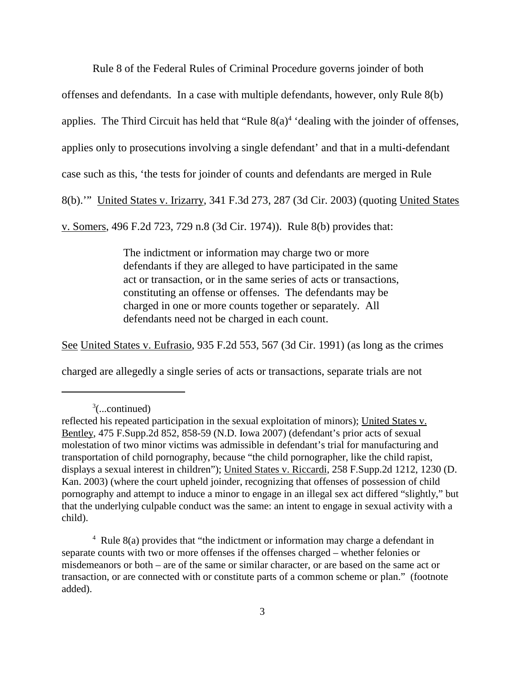Rule 8 of the Federal Rules of Criminal Procedure governs joinder of both

offenses and defendants. In a case with multiple defendants, however, only Rule 8(b)

applies. The Third Circuit has held that "Rule  $8(a)^4$  'dealing with the joinder of offenses,

applies only to prosecutions involving a single defendant' and that in a multi-defendant

case such as this, 'the tests for joinder of counts and defendants are merged in Rule

8(b).'" United States v. Irizarry, 341 F.3d 273, 287 (3d Cir. 2003) (quoting United States

v. Somers, 496 F.2d 723, 729 n.8 (3d Cir. 1974)). Rule 8(b) provides that:

The indictment or information may charge two or more defendants if they are alleged to have participated in the same act or transaction, or in the same series of acts or transactions, constituting an offense or offenses. The defendants may be charged in one or more counts together or separately. All defendants need not be charged in each count.

See United States v. Eufrasio, 935 F.2d 553, 567 (3d Cir. 1991) (as long as the crimes

charged are allegedly a single series of acts or transactions, separate trials are not

 $\alpha^3$ (...continued)

reflected his repeated participation in the sexual exploitation of minors); United States v. Bentley, 475 F.Supp.2d 852, 858-59 (N.D. Iowa 2007) (defendant's prior acts of sexual molestation of two minor victims was admissible in defendant's trial for manufacturing and transportation of child pornography, because "the child pornographer, like the child rapist, displays a sexual interest in children"); United States v. Riccardi, 258 F.Supp.2d 1212, 1230 (D. Kan. 2003) (where the court upheld joinder, recognizing that offenses of possession of child pornography and attempt to induce a minor to engage in an illegal sex act differed "slightly," but that the underlying culpable conduct was the same: an intent to engage in sexual activity with a child).

 $4$  Rule 8(a) provides that "the indictment or information may charge a defendant in separate counts with two or more offenses if the offenses charged – whether felonies or misdemeanors or both – are of the same or similar character, or are based on the same act or transaction, or are connected with or constitute parts of a common scheme or plan." (footnote added).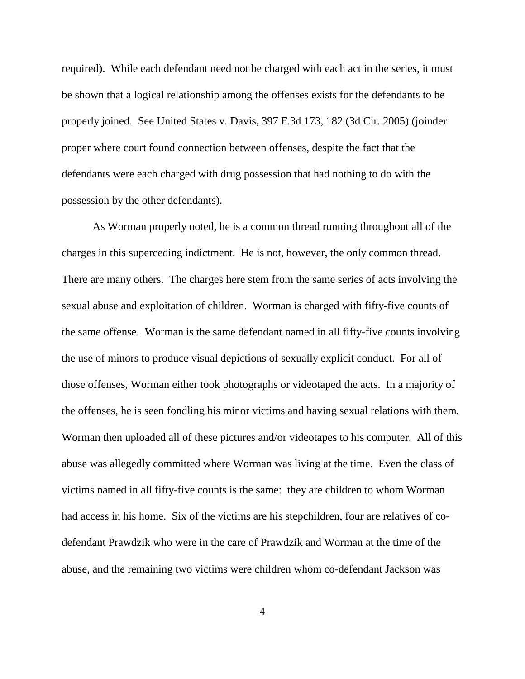required). While each defendant need not be charged with each act in the series, it must be shown that a logical relationship among the offenses exists for the defendants to be properly joined. See United States v. Davis, 397 F.3d 173, 182 (3d Cir. 2005) (joinder proper where court found connection between offenses, despite the fact that the defendants were each charged with drug possession that had nothing to do with the possession by the other defendants).

As Worman properly noted, he is a common thread running throughout all of the charges in this superceding indictment. He is not, however, the only common thread. There are many others. The charges here stem from the same series of acts involving the sexual abuse and exploitation of children. Worman is charged with fifty-five counts of the same offense. Worman is the same defendant named in all fifty-five counts involving the use of minors to produce visual depictions of sexually explicit conduct. For all of those offenses, Worman either took photographs or videotaped the acts. In a majority of the offenses, he is seen fondling his minor victims and having sexual relations with them. Worman then uploaded all of these pictures and/or videotapes to his computer. All of this abuse was allegedly committed where Worman was living at the time. Even the class of victims named in all fifty-five counts is the same: they are children to whom Worman had access in his home. Six of the victims are his stepchildren, four are relatives of codefendant Prawdzik who were in the care of Prawdzik and Worman at the time of the abuse, and the remaining two victims were children whom co-defendant Jackson was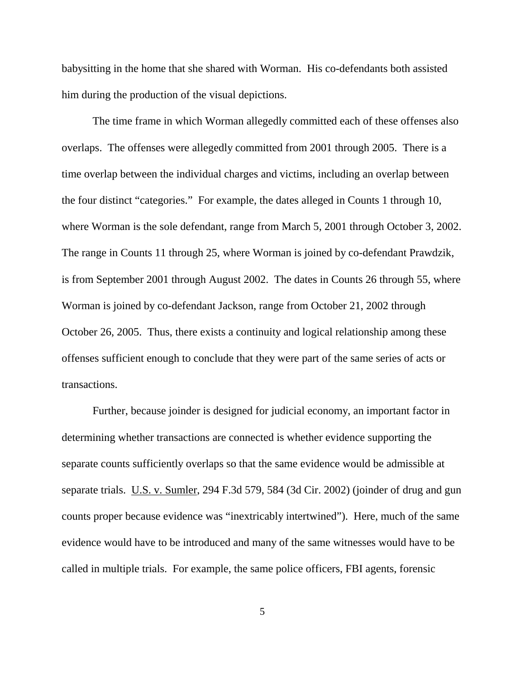babysitting in the home that she shared with Worman. His co-defendants both assisted him during the production of the visual depictions.

The time frame in which Worman allegedly committed each of these offenses also overlaps. The offenses were allegedly committed from 2001 through 2005. There is a time overlap between the individual charges and victims, including an overlap between the four distinct "categories." For example, the dates alleged in Counts 1 through 10, where Worman is the sole defendant, range from March 5, 2001 through October 3, 2002. The range in Counts 11 through 25, where Worman is joined by co-defendant Prawdzik, is from September 2001 through August 2002. The dates in Counts 26 through 55, where Worman is joined by co-defendant Jackson, range from October 21, 2002 through October 26, 2005. Thus, there exists a continuity and logical relationship among these offenses sufficient enough to conclude that they were part of the same series of acts or transactions.

Further, because joinder is designed for judicial economy, an important factor in determining whether transactions are connected is whether evidence supporting the separate counts sufficiently overlaps so that the same evidence would be admissible at separate trials. U.S. v. Sumler, 294 F.3d 579, 584 (3d Cir. 2002) (joinder of drug and gun counts proper because evidence was "inextricably intertwined"). Here, much of the same evidence would have to be introduced and many of the same witnesses would have to be called in multiple trials. For example, the same police officers, FBI agents, forensic

5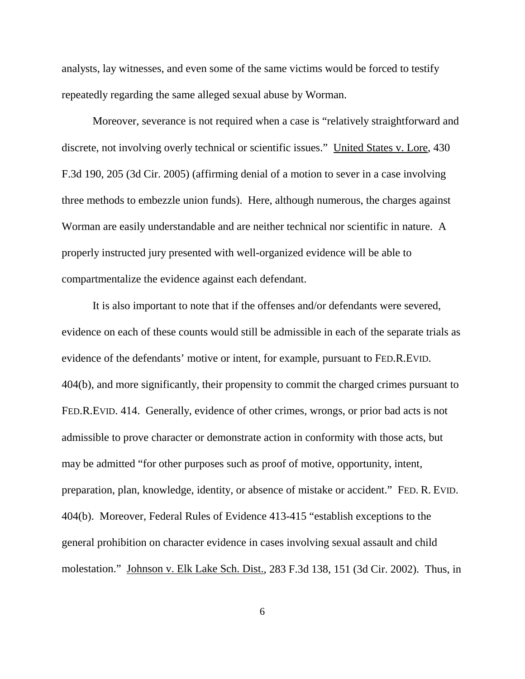analysts, lay witnesses, and even some of the same victims would be forced to testify repeatedly regarding the same alleged sexual abuse by Worman.

Moreover, severance is not required when a case is "relatively straightforward and discrete, not involving overly technical or scientific issues." United States v. Lore, 430 F.3d 190, 205 (3d Cir. 2005) (affirming denial of a motion to sever in a case involving three methods to embezzle union funds). Here, although numerous, the charges against Worman are easily understandable and are neither technical nor scientific in nature. A properly instructed jury presented with well-organized evidence will be able to compartmentalize the evidence against each defendant.

It is also important to note that if the offenses and/or defendants were severed, evidence on each of these counts would still be admissible in each of the separate trials as evidence of the defendants' motive or intent, for example, pursuant to FED.R.EVID. 404(b), and more significantly, their propensity to commit the charged crimes pursuant to FED.R.EVID. 414. Generally, evidence of other crimes, wrongs, or prior bad acts is not admissible to prove character or demonstrate action in conformity with those acts, but may be admitted "for other purposes such as proof of motive, opportunity, intent, preparation, plan, knowledge, identity, or absence of mistake or accident." FED. R. EVID. 404(b). Moreover, Federal Rules of Evidence 413-415 "establish exceptions to the general prohibition on character evidence in cases involving sexual assault and child molestation." Johnson v. Elk Lake Sch. Dist., 283 F.3d 138, 151 (3d Cir. 2002). Thus, in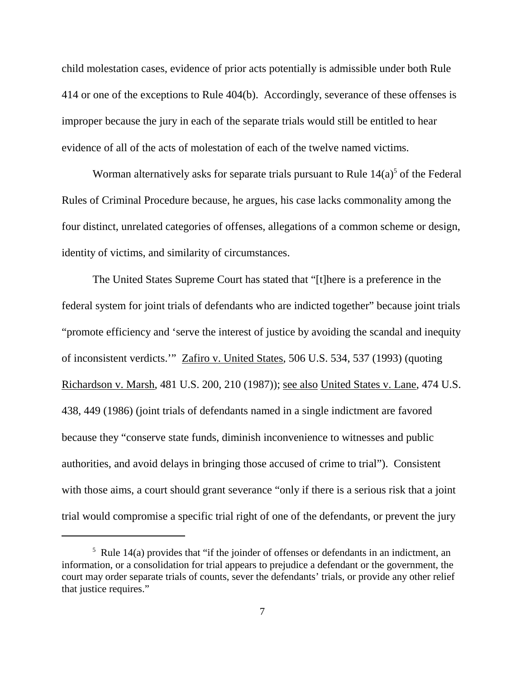child molestation cases, evidence of prior acts potentially is admissible under both Rule 414 or one of the exceptions to Rule 404(b). Accordingly, severance of these offenses is improper because the jury in each of the separate trials would still be entitled to hear evidence of all of the acts of molestation of each of the twelve named victims.

Worman alternatively asks for separate trials pursuant to Rule  $14(a)$ <sup>5</sup> of the Federal Rules of Criminal Procedure because, he argues, his case lacks commonality among the four distinct, unrelated categories of offenses, allegations of a common scheme or design, identity of victims, and similarity of circumstances.

The United States Supreme Court has stated that "[t]here is a preference in the federal system for joint trials of defendants who are indicted together" because joint trials "promote efficiency and 'serve the interest of justice by avoiding the scandal and inequity of inconsistent verdicts.'" Zafiro v. United States, 506 U.S. 534, 537 (1993) (quoting Richardson v. Marsh, 481 U.S. 200, 210 (1987)); see also United States v. Lane, 474 U.S. 438, 449 (1986) (joint trials of defendants named in a single indictment are favored because they "conserve state funds, diminish inconvenience to witnesses and public authorities, and avoid delays in bringing those accused of crime to trial"). Consistent with those aims, a court should grant severance "only if there is a serious risk that a joint trial would compromise a specific trial right of one of the defendants, or prevent the jury

 $5$  Rule 14(a) provides that "if the joinder of offenses or defendants in an indictment, an information, or a consolidation for trial appears to prejudice a defendant or the government, the court may order separate trials of counts, sever the defendants' trials, or provide any other relief that justice requires."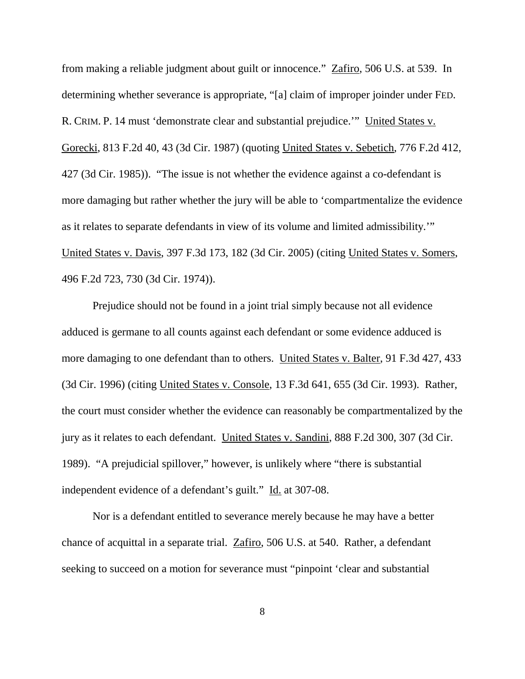from making a reliable judgment about guilt or innocence." Zafiro, 506 U.S. at 539. In determining whether severance is appropriate, "[a] claim of improper joinder under FED. R. CRIM. P. 14 must 'demonstrate clear and substantial prejudice.'" United States v. Gorecki, 813 F.2d 40, 43 (3d Cir. 1987) (quoting United States v. Sebetich, 776 F.2d 412, 427 (3d Cir. 1985)). "The issue is not whether the evidence against a co-defendant is more damaging but rather whether the jury will be able to 'compartmentalize the evidence as it relates to separate defendants in view of its volume and limited admissibility.'" United States v. Davis, 397 F.3d 173, 182 (3d Cir. 2005) (citing United States v. Somers, 496 F.2d 723, 730 (3d Cir. 1974)).

Prejudice should not be found in a joint trial simply because not all evidence adduced is germane to all counts against each defendant or some evidence adduced is more damaging to one defendant than to others. United States v. Balter, 91 F.3d 427, 433 (3d Cir. 1996) (citing United States v. Console, 13 F.3d 641, 655 (3d Cir. 1993). Rather, the court must consider whether the evidence can reasonably be compartmentalized by the jury as it relates to each defendant. United States v. Sandini, 888 F.2d 300, 307 (3d Cir. 1989). "A prejudicial spillover," however, is unlikely where "there is substantial independent evidence of a defendant's guilt." Id. at 307-08.

Nor is a defendant entitled to severance merely because he may have a better chance of acquittal in a separate trial. Zafiro, 506 U.S. at 540. Rather, a defendant seeking to succeed on a motion for severance must "pinpoint 'clear and substantial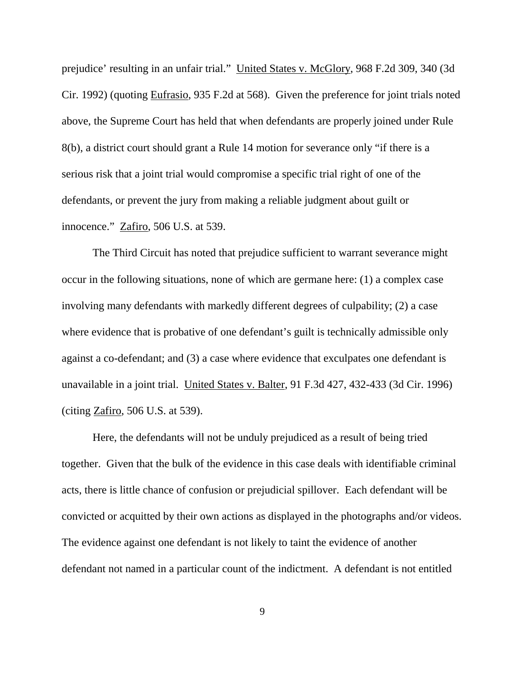prejudice' resulting in an unfair trial." United States v. McGlory, 968 F.2d 309, 340 (3d Cir. 1992) (quoting Eufrasio, 935 F.2d at 568). Given the preference for joint trials noted above, the Supreme Court has held that when defendants are properly joined under Rule 8(b), a district court should grant a Rule 14 motion for severance only "if there is a serious risk that a joint trial would compromise a specific trial right of one of the defendants, or prevent the jury from making a reliable judgment about guilt or innocence." Zafiro, 506 U.S. at 539.

The Third Circuit has noted that prejudice sufficient to warrant severance might occur in the following situations, none of which are germane here: (1) a complex case involving many defendants with markedly different degrees of culpability; (2) a case where evidence that is probative of one defendant's guilt is technically admissible only against a co-defendant; and (3) a case where evidence that exculpates one defendant is unavailable in a joint trial. United States v. Balter, 91 F.3d 427, 432-433 (3d Cir. 1996) (citing Zafiro, 506 U.S. at 539).

Here, the defendants will not be unduly prejudiced as a result of being tried together. Given that the bulk of the evidence in this case deals with identifiable criminal acts, there is little chance of confusion or prejudicial spillover. Each defendant will be convicted or acquitted by their own actions as displayed in the photographs and/or videos. The evidence against one defendant is not likely to taint the evidence of another defendant not named in a particular count of the indictment. A defendant is not entitled

9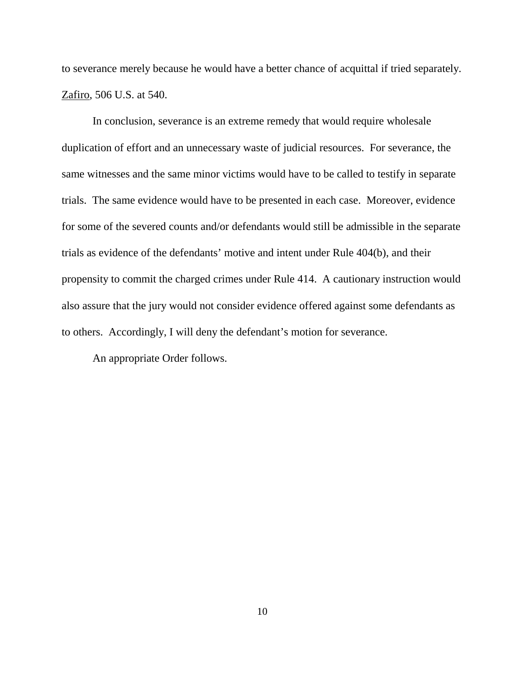to severance merely because he would have a better chance of acquittal if tried separately. Zafiro, 506 U.S. at 540.

In conclusion, severance is an extreme remedy that would require wholesale duplication of effort and an unnecessary waste of judicial resources. For severance, the same witnesses and the same minor victims would have to be called to testify in separate trials. The same evidence would have to be presented in each case. Moreover, evidence for some of the severed counts and/or defendants would still be admissible in the separate trials as evidence of the defendants' motive and intent under Rule 404(b), and their propensity to commit the charged crimes under Rule 414. A cautionary instruction would also assure that the jury would not consider evidence offered against some defendants as to others. Accordingly, I will deny the defendant's motion for severance.

An appropriate Order follows.